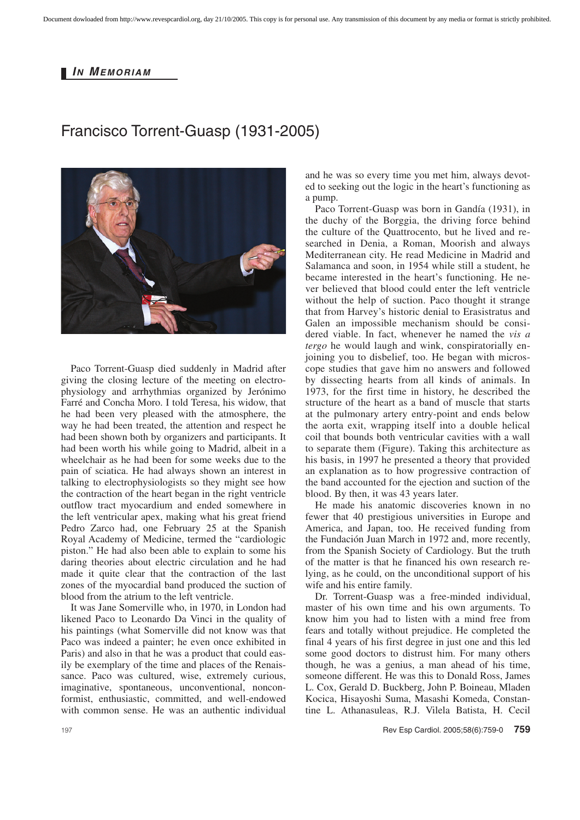## *I N MEMORIAM*

## Francisco Torrent-Guasp (1931-2005)



Paco Torrent-Guasp died suddenly in Madrid after giving the closing lecture of the meeting on electrophysiology and arrhythmias organized by Jerónimo Farré and Concha Moro. I told Teresa, his widow, that he had been very pleased with the atmosphere, the way he had been treated, the attention and respect he had been shown both by organizers and participants. It had been worth his while going to Madrid, albeit in a wheelchair as he had been for some weeks due to the pain of sciatica. He had always shown an interest in talking to electrophysiologists so they might see how the contraction of the heart began in the right ventricle outflow tract myocardium and ended somewhere in the left ventricular apex, making what his great friend Pedro Zarco had, one February 25 at the Spanish Royal Academy of Medicine, termed the "cardiologic piston." He had also been able to explain to some his daring theories about electric circulation and he had made it quite clear that the contraction of the last zones of the myocardial band produced the suction of blood from the atrium to the left ventricle.

It was Jane Somerville who, in 1970, in London had likened Paco to Leonardo Da Vinci in the quality of his paintings (what Somerville did not know was that Paco was indeed a painter; he even once exhibited in Paris) and also in that he was a product that could easily be exemplary of the time and places of the Renaissance. Paco was cultured, wise, extremely curious, imaginative, spontaneous, unconventional, nonconformist, enthusiastic, committed, and well-endowed with common sense. He was an authentic individual

and he was so every time you met him, always devoted to seeking out the logic in the heart's functioning as a pump.

Paco Torrent-Guasp was born in Gandía (1931), in the duchy of the Borggia, the driving force behind the culture of the Quattrocento, but he lived and researched in Denia, a Roman, Moorish and always Mediterranean city. He read Medicine in Madrid and Salamanca and soon, in 1954 while still a student, he became interested in the heart's functioning. He never believed that blood could enter the left ventricle without the help of suction. Paco thought it strange that from Harvey's historic denial to Erasistratus and Galen an impossible mechanism should be considered viable. In fact, whenever he named the *vis a tergo* he would laugh and wink, conspiratorially enjoining you to disbelief, too. He began with microscope studies that gave him no answers and followed by dissecting hearts from all kinds of animals. In 1973, for the first time in history, he described the structure of the heart as a band of muscle that starts at the pulmonary artery entry-point and ends below the aorta exit, wrapping itself into a double helical coil that bounds both ventricular cavities with a wall to separate them (Figure). Taking this architecture as his basis, in 1997 he presented a theory that provided an explanation as to how progressive contraction of the band accounted for the ejection and suction of the blood. By then, it was 43 years later.

He made his anatomic discoveries known in no fewer that 40 prestigious universities in Europe and America, and Japan, too. He received funding from the Fundación Juan March in 1972 and, more recently, from the Spanish Society of Cardiology. But the truth of the matter is that he financed his own research relying, as he could, on the unconditional support of his wife and his entire family.

Dr. Torrent-Guasp was a free-minded individual, master of his own time and his own arguments. To know him you had to listen with a mind free from fears and totally without prejudice. He completed the final 4 years of his first degree in just one and this led some good doctors to distrust him. For many others though, he was a genius, a man ahead of his time, someone different. He was this to Donald Ross, James L. Cox, Gerald D. Buckberg, John P. Boineau, Mladen Kocica, Hisayoshi Suma, Masashi Komeda, Constantine L. Athanasuleas, R.J. Vilela Batista, H. Cecil